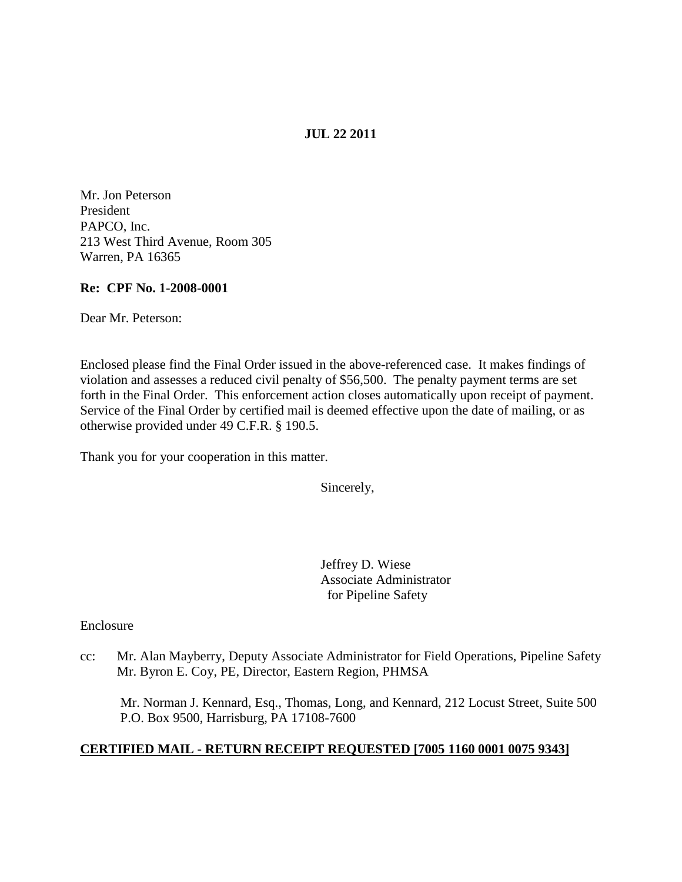## **JUL 22 2011**

Mr. Jon Peterson President PAPCO, Inc. 213 West Third Avenue, Room 305 Warren, PA 16365

### **Re: CPF No. 1-2008-0001**

Dear Mr. Peterson:

Enclosed please find the Final Order issued in the above-referenced case. It makes findings of violation and assesses a reduced civil penalty of \$56,500. The penalty payment terms are set forth in the Final Order. This enforcement action closes automatically upon receipt of payment. Service of the Final Order by certified mail is deemed effective upon the date of mailing, or as otherwise provided under 49 C.F.R. § 190.5.

Thank you for your cooperation in this matter.

Sincerely,

Jeffrey D. Wiese Associate Administrator for Pipeline Safety

Enclosure

cc: Mr. Alan Mayberry, Deputy Associate Administrator for Field Operations, Pipeline Safety Mr. Byron E. Coy, PE, Director, Eastern Region, PHMSA

Mr. Norman J. Kennard, Esq., Thomas, Long, and Kennard, 212 Locust Street, Suite 500 P.O. Box 9500, Harrisburg, PA 17108-7600

# **CERTIFIED MAIL - RETURN RECEIPT REQUESTED [7005 1160 0001 0075 9343]**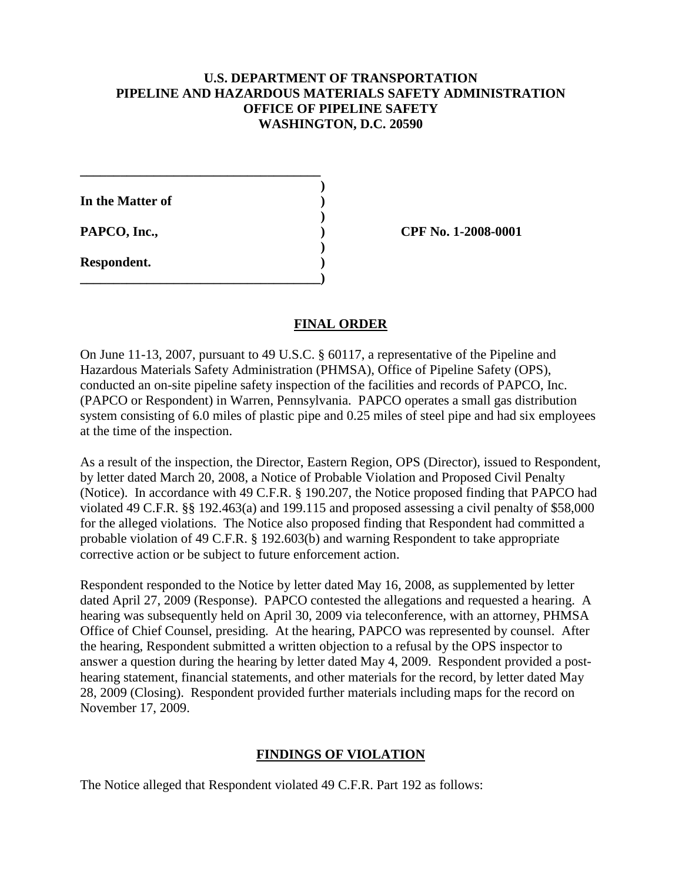### **U.S. DEPARTMENT OF TRANSPORTATION PIPELINE AND HAZARDOUS MATERIALS SAFETY ADMINISTRATION OFFICE OF PIPELINE SAFETY WASHINGTON, D.C. 20590**

**)**

**)**

**)**

**In the Matter of )**

**\_\_\_\_\_\_\_\_\_\_\_\_\_\_\_\_\_\_\_\_\_\_\_\_\_\_\_\_\_\_\_\_\_\_\_\_**

**\_\_\_\_\_\_\_\_\_\_\_\_\_\_\_\_\_\_\_\_\_\_\_\_\_\_\_\_\_\_\_\_\_\_\_\_)**

**Respondent. )**

**PAPCO, Inc., ) CPF No. 1-2008-0001**

## **FINAL ORDER**

On June 11-13, 2007, pursuant to 49 U.S.C. § 60117, a representative of the Pipeline and Hazardous Materials Safety Administration (PHMSA), Office of Pipeline Safety (OPS), conducted an on-site pipeline safety inspection of the facilities and records of PAPCO, Inc. (PAPCO or Respondent) in Warren, Pennsylvania. PAPCO operates a small gas distribution system consisting of 6.0 miles of plastic pipe and 0.25 miles of steel pipe and had six employees at the time of the inspection.

As a result of the inspection, the Director, Eastern Region, OPS (Director), issued to Respondent, by letter dated March 20, 2008, a Notice of Probable Violation and Proposed Civil Penalty (Notice). In accordance with 49 C.F.R. § 190.207, the Notice proposed finding that PAPCO had violated 49 C.F.R. §§ 192.463(a) and 199.115 and proposed assessing a civil penalty of \$58,000 for the alleged violations. The Notice also proposed finding that Respondent had committed a probable violation of 49 C.F.R. § 192.603(b) and warning Respondent to take appropriate corrective action or be subject to future enforcement action.

Respondent responded to the Notice by letter dated May 16, 2008, as supplemented by letter dated April 27, 2009 (Response). PAPCO contested the allegations and requested a hearing. A hearing was subsequently held on April 30, 2009 via teleconference, with an attorney, PHMSA Office of Chief Counsel, presiding. At the hearing, PAPCO was represented by counsel. After the hearing, Respondent submitted a written objection to a refusal by the OPS inspector to answer a question during the hearing by letter dated May 4, 2009. Respondent provided a posthearing statement, financial statements, and other materials for the record, by letter dated May 28, 2009 (Closing). Respondent provided further materials including maps for the record on November 17, 2009.

# **FINDINGS OF VIOLATION**

The Notice alleged that Respondent violated 49 C.F.R. Part 192 as follows: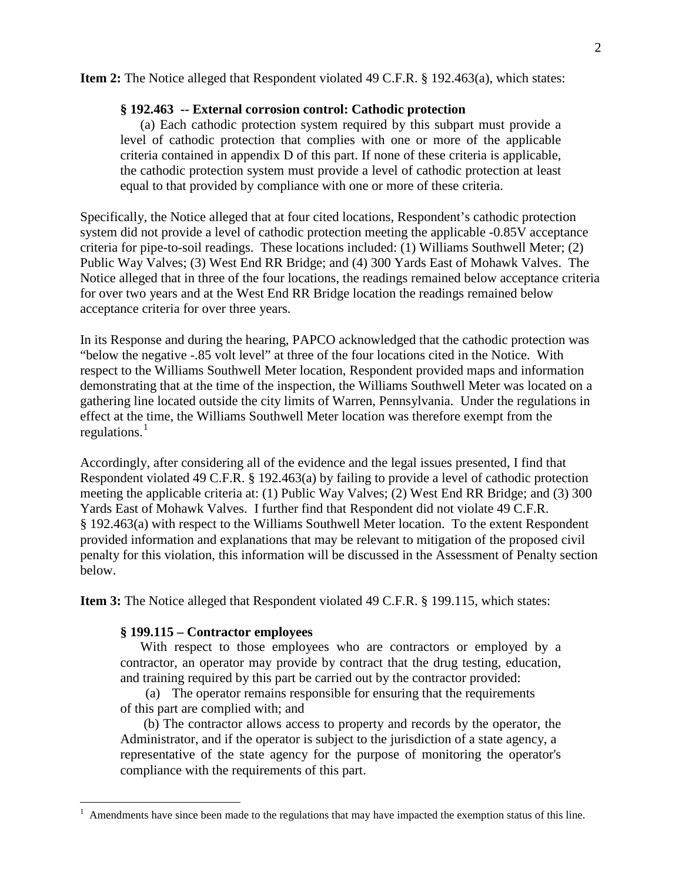#### **Item 2:** The Notice alleged that Respondent violated 49 C.F.R. § 192.463(a), which states:

#### **§ 192.463 -- External corrosion control: Cathodic protection**

(a) Each cathodic protection system required by this subpart must provide a level of cathodic protection that complies with one or more of the applicable criteria contained in appendix D of this part. If none of these criteria is applicable, the cathodic protection system must provide a level of cathodic protection at least equal to that provided by compliance with one or more of these criteria.

Specifically, the Notice alleged that at four cited locations, Respondent's cathodic protection system did not provide a level of cathodic protection meeting the applicable -0.85V acceptance criteria for pipe-to-soil readings. These locations included: (1) Williams Southwell Meter; (2) Public Way Valves; (3) West End RR Bridge; and (4) 300 Yards East of Mohawk Valves. The Notice alleged that in three of the four locations, the readings remained below acceptance criteria for over two years and at the West End RR Bridge location the readings remained below acceptance criteria for over three years.

In its Response and during the hearing, PAPCO acknowledged that the cathodic protection was "below the negative -.85 volt level" at three of the four locations cited in the Notice. With respect to the Williams Southwell Meter location, Respondent provided maps and information demonstrating that at the time of the inspection, the Williams Southwell Meter was located on a gathering line located outside the city limits of Warren, Pennsylvania. Under the regulations in effect at the time, the Williams Southwell Meter location was therefore exempt from the regulations. $<sup>1</sup>$  $<sup>1</sup>$  $<sup>1</sup>$ </sup>

Accordingly, after considering all of the evidence and the legal issues presented, I find that Respondent violated 49 C.F.R. § 192.463(a) by failing to provide a level of cathodic protection meeting the applicable criteria at: (1) Public Way Valves; (2) West End RR Bridge; and (3) 300 Yards East of Mohawk Valves. I further find that Respondent did not violate 49 C.F.R. § 192.463(a) with respect to the Williams Southwell Meter location. To the extent Respondent provided information and explanations that may be relevant to mitigation of the proposed civil penalty for this violation, this information will be discussed in the Assessment of Penalty section below.

**Item 3:** The Notice alleged that Respondent violated 49 C.F.R. § 199.115, which states:

#### **§ 199.115 – Contractor employees**

With respect to those employees who are contractors or employed by a contractor, an operator may provide by contract that the drug testing, education, and training required by this part be carried out by the contractor provided:

(a) The operator remains responsible for ensuring that the requirements of this part are complied with; and

 (b) The contractor allows access to property and records by the operator, the Administrator, and if the operator is subject to the jurisdiction of a state agency, a representative of the state agency for the purpose of monitoring the operator's compliance with the requirements of this part.

<span id="page-2-0"></span> $\frac{1}{1}$ Amendments have since been made to the regulations that may have impacted the exemption status of this line.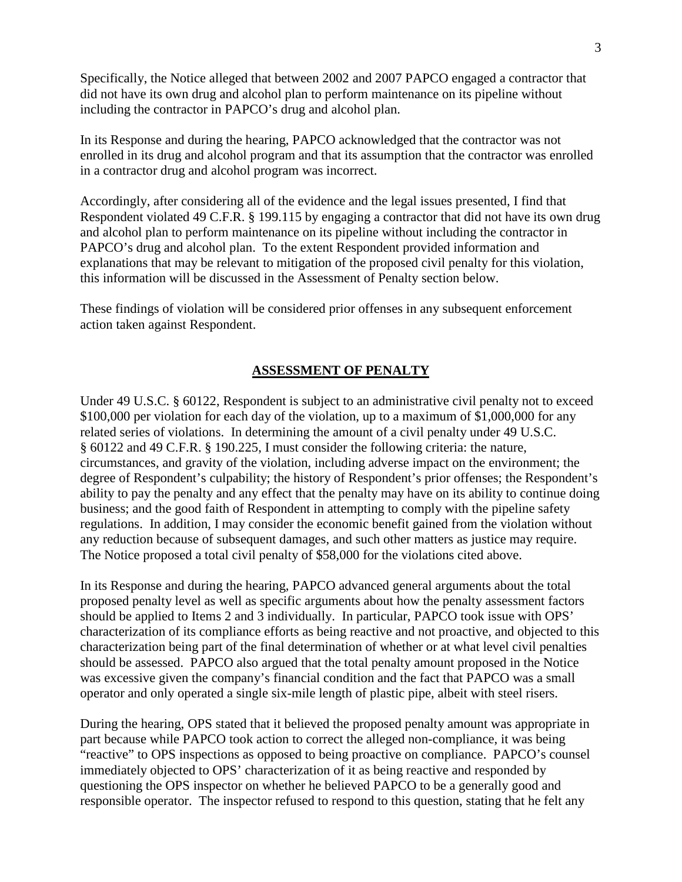Specifically, the Notice alleged that between 2002 and 2007 PAPCO engaged a contractor that did not have its own drug and alcohol plan to perform maintenance on its pipeline without including the contractor in PAPCO's drug and alcohol plan.

In its Response and during the hearing, PAPCO acknowledged that the contractor was not enrolled in its drug and alcohol program and that its assumption that the contractor was enrolled in a contractor drug and alcohol program was incorrect.

Accordingly, after considering all of the evidence and the legal issues presented, I find that Respondent violated 49 C.F.R. § 199.115 by engaging a contractor that did not have its own drug and alcohol plan to perform maintenance on its pipeline without including the contractor in PAPCO's drug and alcohol plan. To the extent Respondent provided information and explanations that may be relevant to mitigation of the proposed civil penalty for this violation, this information will be discussed in the Assessment of Penalty section below.

These findings of violation will be considered prior offenses in any subsequent enforcement action taken against Respondent.

# **ASSESSMENT OF PENALTY**

Under 49 U.S.C. § 60122, Respondent is subject to an administrative civil penalty not to exceed \$100,000 per violation for each day of the violation, up to a maximum of \$1,000,000 for any related series of violations. In determining the amount of a civil penalty under 49 U.S.C. § 60122 and 49 C.F.R. § 190.225, I must consider the following criteria: the nature, circumstances, and gravity of the violation, including adverse impact on the environment; the degree of Respondent's culpability; the history of Respondent's prior offenses; the Respondent's ability to pay the penalty and any effect that the penalty may have on its ability to continue doing business; and the good faith of Respondent in attempting to comply with the pipeline safety regulations. In addition, I may consider the economic benefit gained from the violation without any reduction because of subsequent damages, and such other matters as justice may require. The Notice proposed a total civil penalty of \$58,000 for the violations cited above.

In its Response and during the hearing, PAPCO advanced general arguments about the total proposed penalty level as well as specific arguments about how the penalty assessment factors should be applied to Items 2 and 3 individually. In particular, PAPCO took issue with OPS' characterization of its compliance efforts as being reactive and not proactive, and objected to this characterization being part of the final determination of whether or at what level civil penalties should be assessed. PAPCO also argued that the total penalty amount proposed in the Notice was excessive given the company's financial condition and the fact that PAPCO was a small operator and only operated a single six-mile length of plastic pipe, albeit with steel risers.

During the hearing, OPS stated that it believed the proposed penalty amount was appropriate in part because while PAPCO took action to correct the alleged non-compliance, it was being "reactive" to OPS inspections as opposed to being proactive on compliance. PAPCO's counsel immediately objected to OPS' characterization of it as being reactive and responded by questioning the OPS inspector on whether he believed PAPCO to be a generally good and responsible operator. The inspector refused to respond to this question, stating that he felt any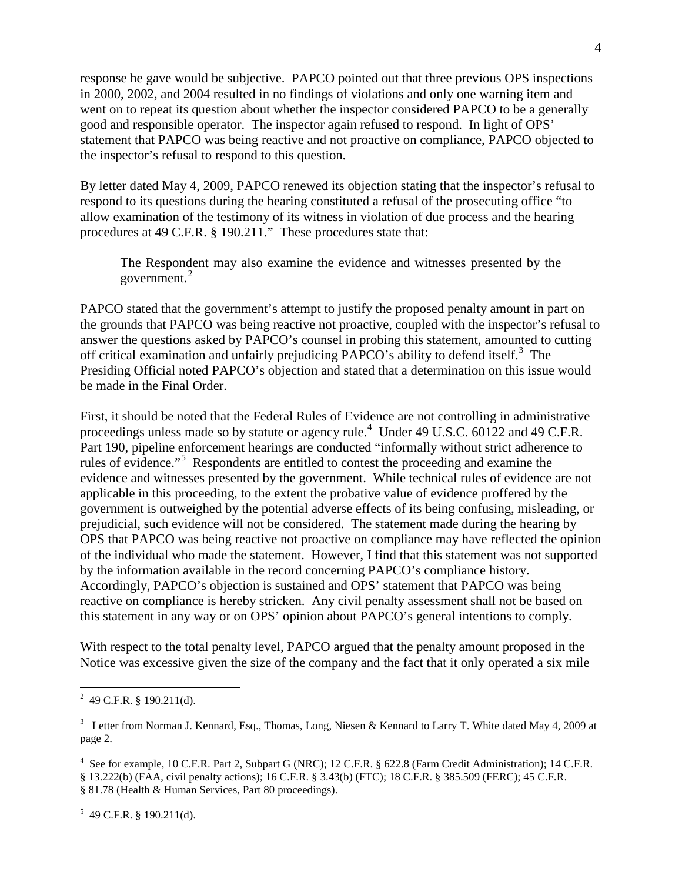response he gave would be subjective. PAPCO pointed out that three previous OPS inspections in 2000, 2002, and 2004 resulted in no findings of violations and only one warning item and went on to repeat its question about whether the inspector considered PAPCO to be a generally good and responsible operator. The inspector again refused to respond. In light of OPS' statement that PAPCO was being reactive and not proactive on compliance, PAPCO objected to the inspector's refusal to respond to this question.

By letter dated May 4, 2009, PAPCO renewed its objection stating that the inspector's refusal to respond to its questions during the hearing constituted a refusal of the prosecuting office "to allow examination of the testimony of its witness in violation of due process and the hearing procedures at 49 C.F.R. § 190.211." These procedures state that:

The Respondent may also examine the evidence and witnesses presented by the government.<sup>[2](#page-4-0)</sup>

PAPCO stated that the government's attempt to justify the proposed penalty amount in part on the grounds that PAPCO was being reactive not proactive, coupled with the inspector's refusal to answer the questions asked by PAPCO's counsel in probing this statement, amounted to cutting off critical examination and unfairly prejudicing PAPCO's ability to defend itself.<sup>[3](#page-4-1)</sup> The Presiding Official noted PAPCO's objection and stated that a determination on this issue would be made in the Final Order.

First, it should be noted that the Federal Rules of Evidence are not controlling in administrative proceedings unless made so by statute or agency rule.<sup>[4](#page-4-2)</sup> Under 49 U.S.C. 60122 and 49 C.F.R. Part 190, pipeline enforcement hearings are conducted "informally without strict adherence to rules of evidence."<sup>[5](#page-4-3)</sup> Respondents are entitled to contest the proceeding and examine the evidence and witnesses presented by the government. While technical rules of evidence are not applicable in this proceeding, to the extent the probative value of evidence proffered by the government is outweighed by the potential adverse effects of its being confusing, misleading, or prejudicial, such evidence will not be considered. The statement made during the hearing by OPS that PAPCO was being reactive not proactive on compliance may have reflected the opinion of the individual who made the statement. However, I find that this statement was not supported by the information available in the record concerning PAPCO's compliance history. Accordingly, PAPCO's objection is sustained and OPS' statement that PAPCO was being reactive on compliance is hereby stricken. Any civil penalty assessment shall not be based on this statement in any way or on OPS' opinion about PAPCO's general intentions to comply.

With respect to the total penalty level, PAPCO argued that the penalty amount proposed in the Notice was excessive given the size of the company and the fact that it only operated a six mile

<span id="page-4-3"></span> $5$  49 C.F.R. § 190.211(d).

<span id="page-4-0"></span> $\frac{1}{2}$  $^{2}$  49 C.F.R. § 190.211(d).

<span id="page-4-1"></span><sup>&</sup>lt;sup>3</sup> Letter from Norman J. Kennard, Esq., Thomas, Long, Niesen & Kennard to Larry T. White dated May 4, 2009 at page 2.

<span id="page-4-2"></span><sup>&</sup>lt;sup>4</sup> See for example, 10 C.F.R. Part 2, Subpart G (NRC); 12 C.F.R. § 622.8 (Farm Credit Administration); 14 C.F.R. § 13.222(b) (FAA, civil penalty actions); 16 C.F.R. § 3.43(b) (FTC); 18 C.F.R. § 385.509 (FERC); 45 C.F.R. § 81.78 (Health & Human Services, Part 80 proceedings).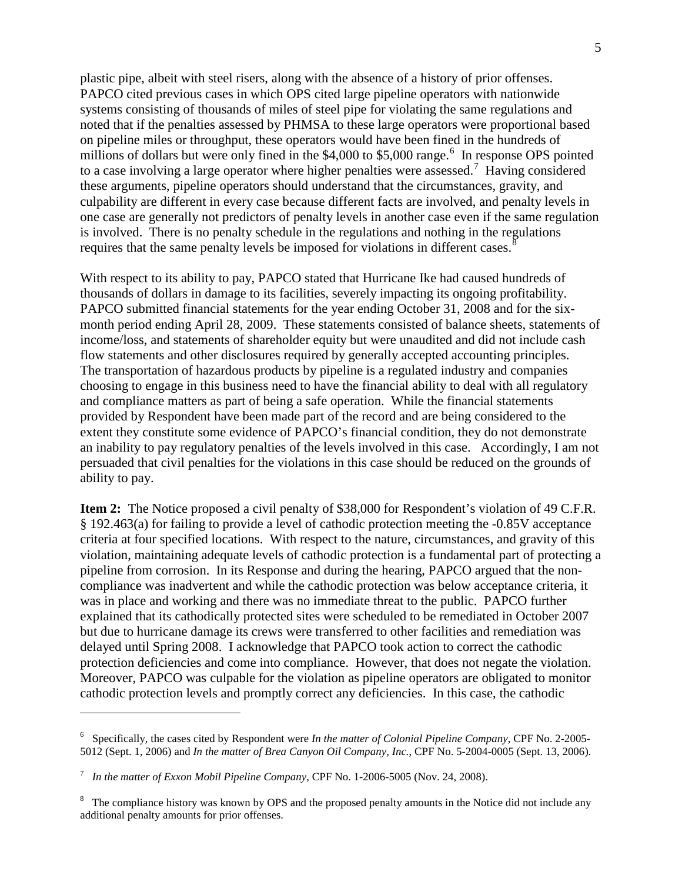plastic pipe, albeit with steel risers, along with the absence of a history of prior offenses. PAPCO cited previous cases in which OPS cited large pipeline operators with nationwide systems consisting of thousands of miles of steel pipe for violating the same regulations and noted that if the penalties assessed by PHMSA to these large operators were proportional based on pipeline miles or throughput, these operators would have been fined in the hundreds of millions of dollars but were only fined in the \$4,000 to \$5,000 range.<sup>[6](#page-5-0)</sup> In response OPS pointed to a case involving a large operator where higher penalties were assessed.<sup>[7](#page-5-1)</sup> Having considered these arguments, pipeline operators should understand that the circumstances, gravity, and culpability are different in every case because different facts are involved, and penalty levels in one case are generally not predictors of penalty levels in another case even if the same regulation is involved. There is no penalty schedule in the regulations and nothing in the regulations requires that the same penalty levels be imposed for violations in different cases.<sup>[8](#page-5-2)</sup>

With respect to its ability to pay, PAPCO stated that Hurricane Ike had caused hundreds of thousands of dollars in damage to its facilities, severely impacting its ongoing profitability. PAPCO submitted financial statements for the year ending October 31, 2008 and for the sixmonth period ending April 28, 2009. These statements consisted of balance sheets, statements of income/loss, and statements of shareholder equity but were unaudited and did not include cash flow statements and other disclosures required by generally accepted accounting principles. The transportation of hazardous products by pipeline is a regulated industry and companies choosing to engage in this business need to have the financial ability to deal with all regulatory and compliance matters as part of being a safe operation. While the financial statements provided by Respondent have been made part of the record and are being considered to the extent they constitute some evidence of PAPCO's financial condition, they do not demonstrate an inability to pay regulatory penalties of the levels involved in this case. Accordingly, I am not persuaded that civil penalties for the violations in this case should be reduced on the grounds of ability to pay.

**Item 2:** The Notice proposed a civil penalty of \$38,000 for Respondent's violation of 49 C.F.R. § 192.463(a) for failing to provide a level of cathodic protection meeting the -0.85V acceptance criteria at four specified locations. With respect to the nature, circumstances, and gravity of this violation, maintaining adequate levels of cathodic protection is a fundamental part of protecting a pipeline from corrosion. In its Response and during the hearing, PAPCO argued that the noncompliance was inadvertent and while the cathodic protection was below acceptance criteria, it was in place and working and there was no immediate threat to the public. PAPCO further explained that its cathodically protected sites were scheduled to be remediated in October 2007 but due to hurricane damage its crews were transferred to other facilities and remediation was delayed until Spring 2008. I acknowledge that PAPCO took action to correct the cathodic protection deficiencies and come into compliance. However, that does not negate the violation. Moreover, PAPCO was culpable for the violation as pipeline operators are obligated to monitor cathodic protection levels and promptly correct any deficiencies. In this case, the cathodic

 $\overline{a}$ 

<span id="page-5-0"></span><sup>6</sup> Specifically, the cases cited by Respondent were *In the matter of Colonial Pipeline Company*, CPF No. 2-2005- 5012 (Sept. 1, 2006) and *In the matter of Brea Canyon Oil Company, Inc.*, CPF No. 5-2004-0005 (Sept. 13, 2006).

<span id="page-5-1"></span><sup>7</sup> *In the matter of Exxon Mobil Pipeline Company*, CPF No. 1-2006-5005 (Nov. 24, 2008).

<span id="page-5-2"></span><sup>&</sup>lt;sup>8</sup> The compliance history was known by OPS and the proposed penalty amounts in the Notice did not include any additional penalty amounts for prior offenses.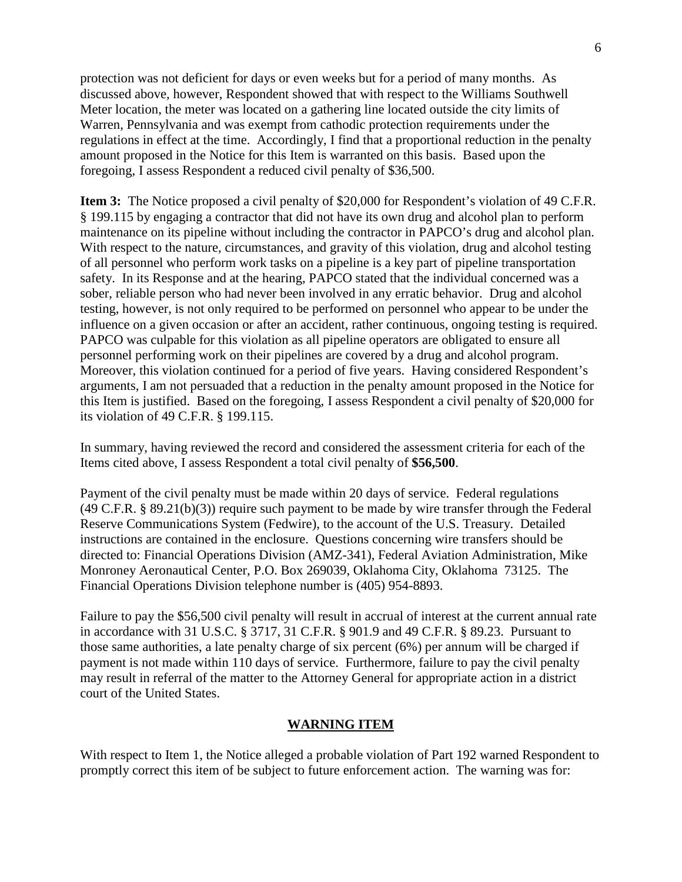protection was not deficient for days or even weeks but for a period of many months. As discussed above, however, Respondent showed that with respect to the Williams Southwell Meter location, the meter was located on a gathering line located outside the city limits of Warren, Pennsylvania and was exempt from cathodic protection requirements under the regulations in effect at the time. Accordingly, I find that a proportional reduction in the penalty amount proposed in the Notice for this Item is warranted on this basis. Based upon the foregoing, I assess Respondent a reduced civil penalty of \$36,500.

**Item 3:** The Notice proposed a civil penalty of \$20,000 for Respondent's violation of 49 C.F.R. § 199.115 by engaging a contractor that did not have its own drug and alcohol plan to perform maintenance on its pipeline without including the contractor in PAPCO's drug and alcohol plan. With respect to the nature, circumstances, and gravity of this violation, drug and alcohol testing of all personnel who perform work tasks on a pipeline is a key part of pipeline transportation safety. In its Response and at the hearing, PAPCO stated that the individual concerned was a sober, reliable person who had never been involved in any erratic behavior. Drug and alcohol testing, however, is not only required to be performed on personnel who appear to be under the influence on a given occasion or after an accident, rather continuous, ongoing testing is required. PAPCO was culpable for this violation as all pipeline operators are obligated to ensure all personnel performing work on their pipelines are covered by a drug and alcohol program. Moreover, this violation continued for a period of five years. Having considered Respondent's arguments, I am not persuaded that a reduction in the penalty amount proposed in the Notice for this Item is justified. Based on the foregoing, I assess Respondent a civil penalty of \$20,000 for its violation of 49 C.F.R. § 199.115.

In summary, having reviewed the record and considered the assessment criteria for each of the Items cited above, I assess Respondent a total civil penalty of **\$56,500**.

Payment of the civil penalty must be made within 20 days of service. Federal regulations (49 C.F.R. § 89.21(b)(3)) require such payment to be made by wire transfer through the Federal Reserve Communications System (Fedwire), to the account of the U.S. Treasury. Detailed instructions are contained in the enclosure. Questions concerning wire transfers should be directed to: Financial Operations Division (AMZ-341), Federal Aviation Administration, Mike Monroney Aeronautical Center, P.O. Box 269039, Oklahoma City, Oklahoma 73125. The Financial Operations Division telephone number is (405) 954-8893.

Failure to pay the \$56,500 civil penalty will result in accrual of interest at the current annual rate in accordance with 31 U.S.C. § 3717, 31 C.F.R. § 901.9 and 49 C.F.R. § 89.23. Pursuant to those same authorities, a late penalty charge of six percent (6%) per annum will be charged if payment is not made within 110 days of service. Furthermore, failure to pay the civil penalty may result in referral of the matter to the Attorney General for appropriate action in a district court of the United States.

#### **WARNING ITEM**

With respect to Item 1, the Notice alleged a probable violation of Part 192 warned Respondent to promptly correct this item of be subject to future enforcement action. The warning was for: